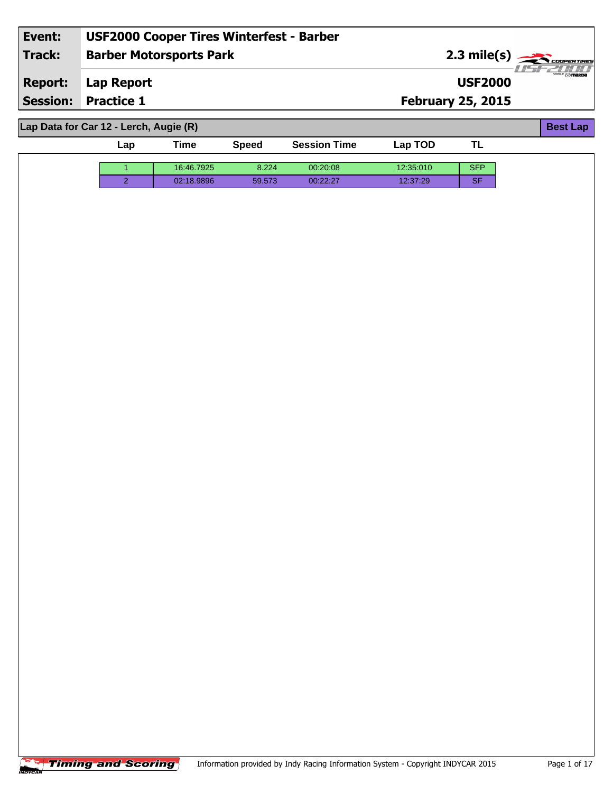| Event:          | <b>USF2000 Cooper Tires Winterfest - Barber</b> |                          |                       |
|-----------------|-------------------------------------------------|--------------------------|-----------------------|
| <b>Track:</b>   | <b>Barber Motorsports Park</b>                  |                          | $2.3 \text{ mile(s)}$ |
| <b>Report:</b>  | Lap Report                                      | <b>USF2000</b>           |                       |
| <b>Session:</b> | <b>Practice 1</b>                               | <b>February 25, 2015</b> |                       |
|                 |                                                 |                          |                       |
|                 | Lap Data for Car 12 - Lerch, Augie (R)          |                          | <b>Best Lap</b>       |

| ∟ap | Time       | <b>Speed</b> | <b>Session Time</b> | Lap TOD   | . .        |
|-----|------------|--------------|---------------------|-----------|------------|
|     | 16:46.7925 | 8.224        | 00:20:08            | 12:35:010 | <b>SFP</b> |
|     | 02:18.9896 | 59.573       | 00:22:27            | 12:37:29  | <b>SF</b>  |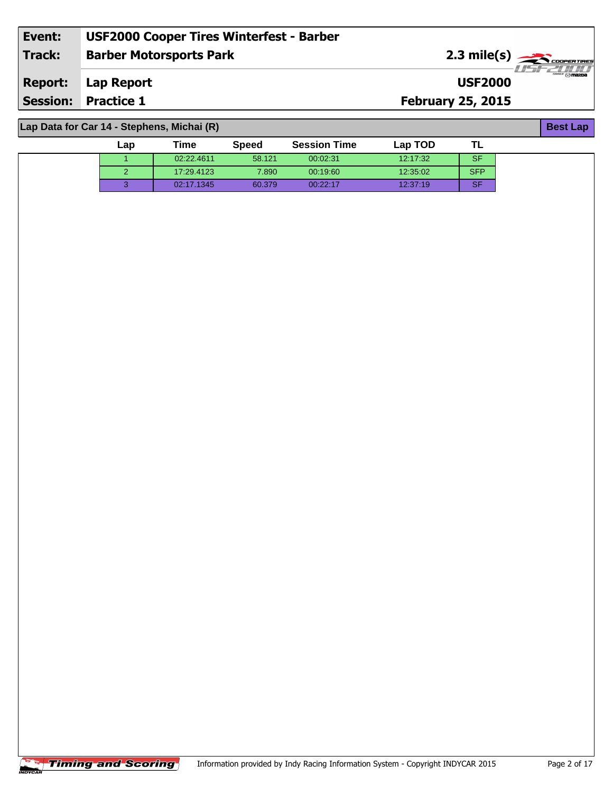| Event:                                     | <b>USF2000 Cooper Tires Winterfest - Barber</b> |                          |                                                                                   |  |  |
|--------------------------------------------|-------------------------------------------------|--------------------------|-----------------------------------------------------------------------------------|--|--|
| <b>Track:</b>                              | <b>Barber Motorsports Park</b>                  |                          | $2.3 \text{ mile(s)}$<br><i>. I leterinin</i>                                     |  |  |
| <b>Report:</b>                             | Lap Report                                      | <b>USF2000</b>           | $\overline{\phantom{m}}\otimes\overline{\phantom{m}}\overline{\phantom{m}}$ mazpa |  |  |
|                                            | <b>Session: Practice 1</b>                      | <b>February 25, 2015</b> |                                                                                   |  |  |
|                                            |                                                 |                          |                                                                                   |  |  |
| Lap Data for Car 14 - Stephens, Michai (R) |                                                 |                          |                                                                                   |  |  |

| Lap | Time       | <b>Speed</b> | <b>Session Time</b> | Lap TOD  |            |  |
|-----|------------|--------------|---------------------|----------|------------|--|
|     | 02:22.4611 | 58.121       | 00:02:31            | 12.17.32 | <b>SF</b>  |  |
|     | 17:29.4123 | 7.890        | 00:19:60            | 12:35:02 | <b>SFP</b> |  |
|     | 02:17.1345 | 60.379       | 00:22:17            | 12:37:19 | <b>SF</b>  |  |

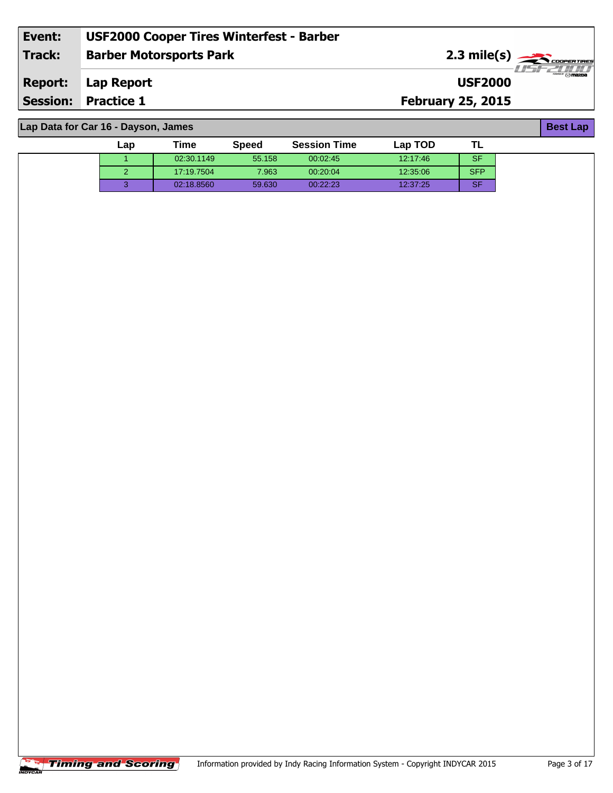| Event: | <b>USF2000 Cooper Tires Winterfest - Barber</b> |                                                 |                          |
|--------|-------------------------------------------------|-------------------------------------------------|--------------------------|
| Track: | <b>Barber Motorsports Park</b>                  | $2.3$ mile(s) $\frac{1}{\sqrt{2}}$ coorer TIRES |                          |
|        | <b>Report:</b> Lap Report                       | <b>USF2000</b>                                  | $\overline{\phantom{m}}$ |
|        | <b>Session: Practice 1</b>                      | <b>February 25, 2015</b>                        |                          |
|        |                                                 |                                                 |                          |

**Lap Data for Car 16 - Dayson, James**

| ∟ap | Time       | <b>Speed</b> | <b>Session Time</b> | Lap TOD  | .∟         |
|-----|------------|--------------|---------------------|----------|------------|
|     | 02:30.1149 | 55.158       | 00:02:45            | 12:17:46 | <b>SF</b>  |
|     | 17:19.7504 | 7.963        | 00:20:04            | 12:35:06 | <b>SFP</b> |
|     | 02:18.8560 | 59.630       | 00:22:23            | 12:37:25 | <b>SF</b>  |

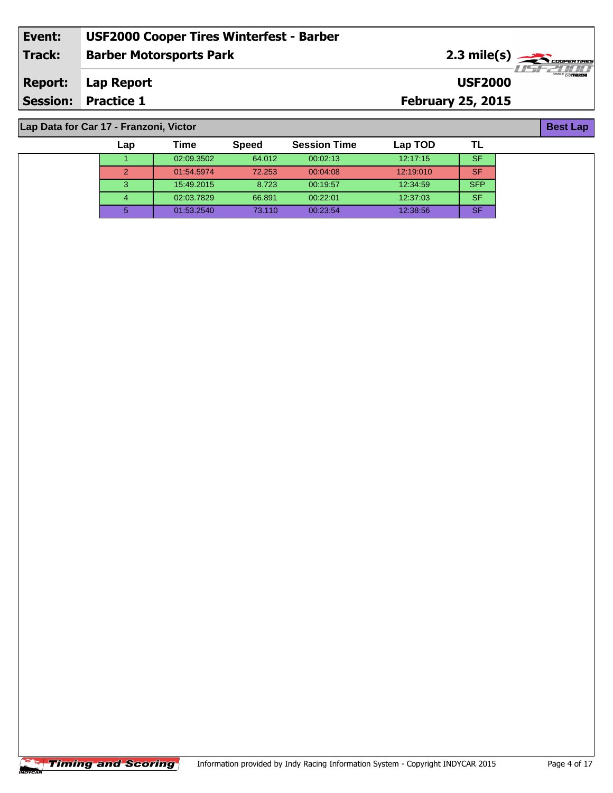| Event:         | <b>USF2000 Cooper Tires Winterfest - Barber</b> |                                                         |                  |
|----------------|-------------------------------------------------|---------------------------------------------------------|------------------|
| Track:         | <b>Barber Motorsports Park</b>                  | $2.3 \text{ mile(s)} \longrightarrow \text{Cone terms}$ |                  |
| <b>Report:</b> | Lap Report                                      | <b>USF2000</b>                                          | $\sqrt{2}$ mazpa |
|                | <b>Session: Practice 1</b>                      | <b>February 25, 2015</b>                                |                  |
|                |                                                 |                                                         |                  |

 02:09.3502 64.012 00:02:13 12:17:15 SF 01:54.5974 72.253 00:04:08 12:19:010 SF 15:49.2015 8.723 00:19:57 12:34:59 SFP 02:03.7829 66.891 00:22:01 12:37:03 SF 01:53.2540 73.110 00:23:54 12:38:56 SF

**Lap Time Speed Session Time Lap TOD**

**Lap Data for Car 17 - Franzoni, Victor**

| -<br>-45 p<br>٠ |  |  |  |
|-----------------|--|--|--|
|-----------------|--|--|--|

**TL**

|                | <b>Timing and Scoring</b> | Information |
|----------------|---------------------------|-------------|
| <b>INDYCAR</b> |                           |             |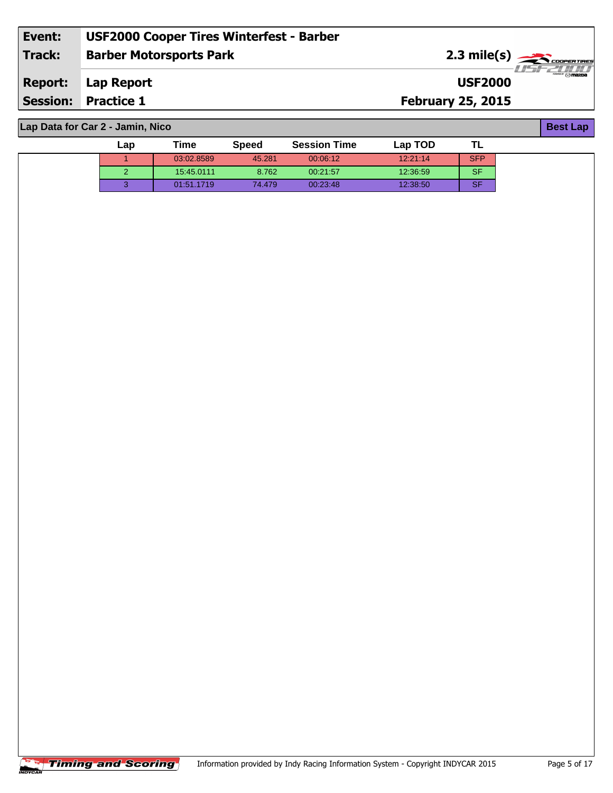| Event:          | <b>USF2000 Cooper Tires Winterfest - Barber</b> |                                                 |                                       |
|-----------------|-------------------------------------------------|-------------------------------------------------|---------------------------------------|
| Track:          | <b>Barber Motorsports Park</b>                  | $2.3$ mile(s) $\frac{1}{\sqrt{2}}$ coorer TIRES |                                       |
| <b>Report:</b>  | Lap Report                                      | <b>USF2000</b>                                  | $^{\prime\prime\prime}$ $\odot$ mazoa |
| <b>Session:</b> | <b>Practice 1</b>                               | <b>February 25, 2015</b>                        |                                       |
|                 |                                                 |                                                 |                                       |

**Lap Data for Car 2 - Jamin, Nico**

| $\mathsf{Lap}$ | Time       | <b>Speed</b> | <b>Session Time</b> | Lap TOD  | . .        |
|----------------|------------|--------------|---------------------|----------|------------|
|                | 03:02.8589 | 45.281       | 00:06:12            | 12:21:14 | <b>SFP</b> |
|                | 15:45.0111 | 8.762        | 00:21:57            | 12:36:59 | <b>SF</b>  |
|                | 01:51.1719 | 74.479       | 00:23:48            | 12:38:50 | <b>SF</b>  |

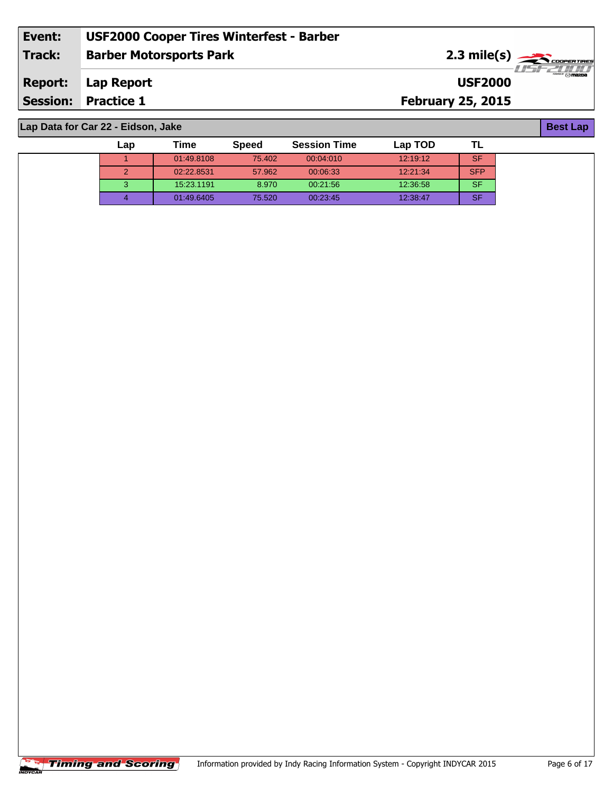| Event: | <b>USF2000 Cooper Tires Winterfest - Barber</b> |                                                               |
|--------|-------------------------------------------------|---------------------------------------------------------------|
| Track: | <b>Barber Motorsports Park</b>                  | $2.3 \text{ mile(s)}$                                         |
|        | <b>Report:</b> Lap Report                       | <i>. I leter i i i i i</i><br>$\odot$ mazna<br><b>USF2000</b> |
|        | <b>Session: Practice 1</b>                      | <b>February 25, 2015</b>                                      |
|        |                                                 |                                                               |

 01:49.8108 75.402 00:04:010 12:19:12 SF 02:22.8531 57.962 00:06:33 12:21:34 SFP 15:23.1191 8.970 00:21:56 12:36:58 SF 01:49.6405 75.520 00:23:45 12:38:47 SF

**Lap Time Speed Session Time Lap TOD**

**Lap Data for Car 22 - Eidson, Jake**

**Best Lap**

**TL**

|                | <b>Timing and Scoring</b> | Information pro |
|----------------|---------------------------|-----------------|
| <b>INDYCAR</b> |                           |                 |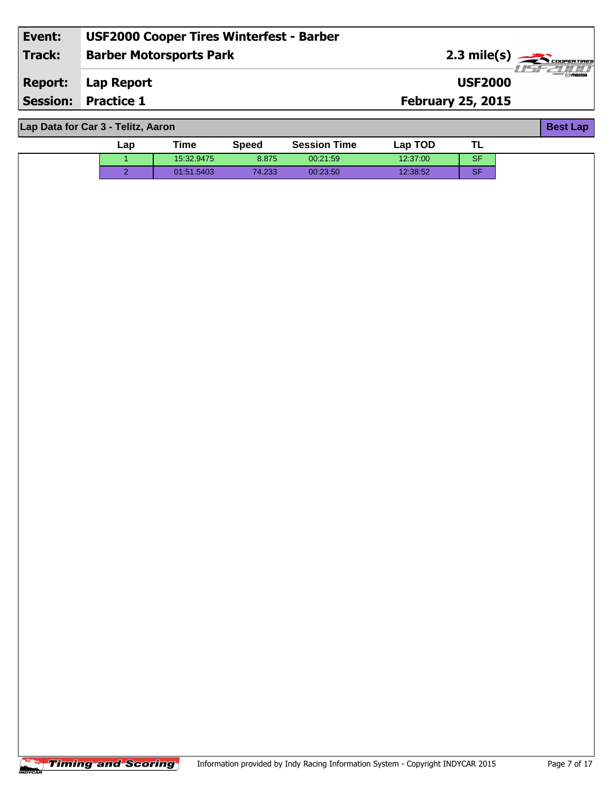| Event:          | <b>USF2000 Cooper Tires Winterfest - Barber</b> |                          |             |
|-----------------|-------------------------------------------------|--------------------------|-------------|
| Track:          | <b>Barber Motorsports Park</b>                  |                          | 2.3 mile(s) |
| <b>Report:</b>  | Lap Report                                      | <b>USF2000</b>           | ‴ ⊙mazoa    |
| <b>Session:</b> | <b>Practice 1</b>                               | <b>February 25, 2015</b> |             |
|                 |                                                 |                          |             |

| Lap Data for Car 3 - Telitz, Aaron |     |            |              |                     |          |           |  |
|------------------------------------|-----|------------|--------------|---------------------|----------|-----------|--|
|                                    | Lap | Time       | <b>Speed</b> | <b>Session Time</b> | Lap TOD  | TL        |  |
|                                    |     | 15:32.9475 | 8.875        | 00:21:59            | 12:37:00 | <b>SF</b> |  |
|                                    | ົ   | 01:51.5403 | 74.233       | 00:23:50            | 12:38:52 | <b>SF</b> |  |
|                                    |     |            |              |                     |          |           |  |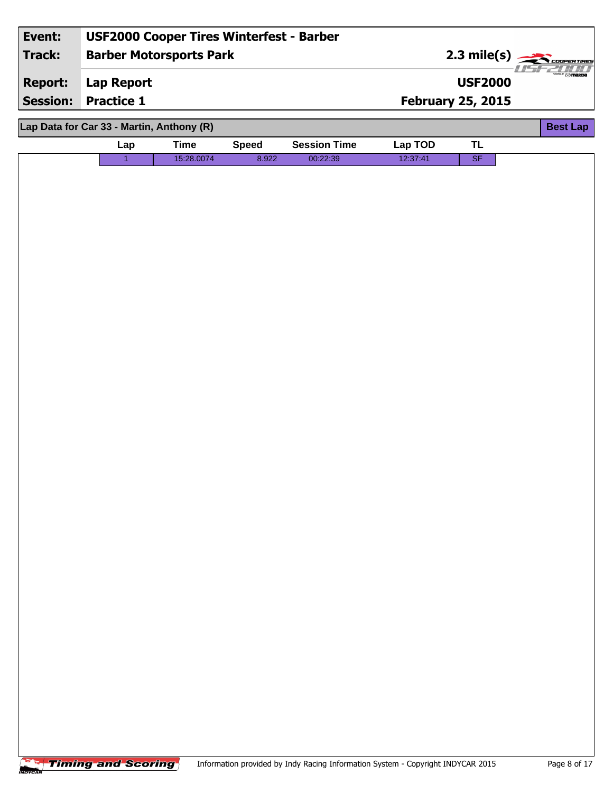| Event:          | <b>USF2000 Cooper Tires Winterfest - Barber</b> |             |              |                     |          |                            |                                |
|-----------------|-------------------------------------------------|-------------|--------------|---------------------|----------|----------------------------|--------------------------------|
| <b>Track:</b>   | <b>Barber Motorsports Park</b>                  |             |              |                     |          | 2.3 mile(s) $\overline{z}$ | COOPERTIRES                    |
| <b>Report:</b>  | <b>Lap Report</b>                               |             |              |                     |          | <b>USF2000</b>             | $\frac{1}{2}$ of $\frac{1}{2}$ |
| <b>Session:</b> | <b>Practice 1</b>                               |             |              |                     |          | <b>February 25, 2015</b>   |                                |
|                 | Lap Data for Car 33 - Martin, Anthony (R)       |             |              |                     |          |                            | <b>Best Lap</b>                |
|                 | Lap                                             | <b>Time</b> | <b>Speed</b> | <b>Session Time</b> | Lap TOD  | <b>TL</b>                  |                                |
|                 | $\overline{1}$                                  | 15:28.0074  | 8.922        | 00:22:39            | 12:37:41 | SF                         |                                |
|                 |                                                 |             |              |                     |          |                            |                                |
|                 |                                                 |             |              |                     |          |                            |                                |
|                 |                                                 |             |              |                     |          |                            |                                |
|                 |                                                 |             |              |                     |          |                            |                                |
|                 |                                                 |             |              |                     |          |                            |                                |
|                 |                                                 |             |              |                     |          |                            |                                |
|                 |                                                 |             |              |                     |          |                            |                                |
|                 |                                                 |             |              |                     |          |                            |                                |
|                 |                                                 |             |              |                     |          |                            |                                |
|                 |                                                 |             |              |                     |          |                            |                                |
|                 |                                                 |             |              |                     |          |                            |                                |
|                 |                                                 |             |              |                     |          |                            |                                |
|                 |                                                 |             |              |                     |          |                            |                                |
|                 |                                                 |             |              |                     |          |                            |                                |
|                 |                                                 |             |              |                     |          |                            |                                |
|                 |                                                 |             |              |                     |          |                            |                                |
|                 |                                                 |             |              |                     |          |                            |                                |
|                 |                                                 |             |              |                     |          |                            |                                |
|                 |                                                 |             |              |                     |          |                            |                                |
|                 |                                                 |             |              |                     |          |                            |                                |
|                 |                                                 |             |              |                     |          |                            |                                |
|                 |                                                 |             |              |                     |          |                            |                                |
|                 |                                                 |             |              |                     |          |                            |                                |
|                 |                                                 |             |              |                     |          |                            |                                |
|                 |                                                 |             |              |                     |          |                            |                                |
|                 |                                                 |             |              |                     |          |                            |                                |
|                 |                                                 |             |              |                     |          |                            |                                |
|                 |                                                 |             |              |                     |          |                            |                                |
|                 |                                                 |             |              |                     |          |                            |                                |
|                 |                                                 |             |              |                     |          |                            |                                |
|                 |                                                 |             |              |                     |          |                            |                                |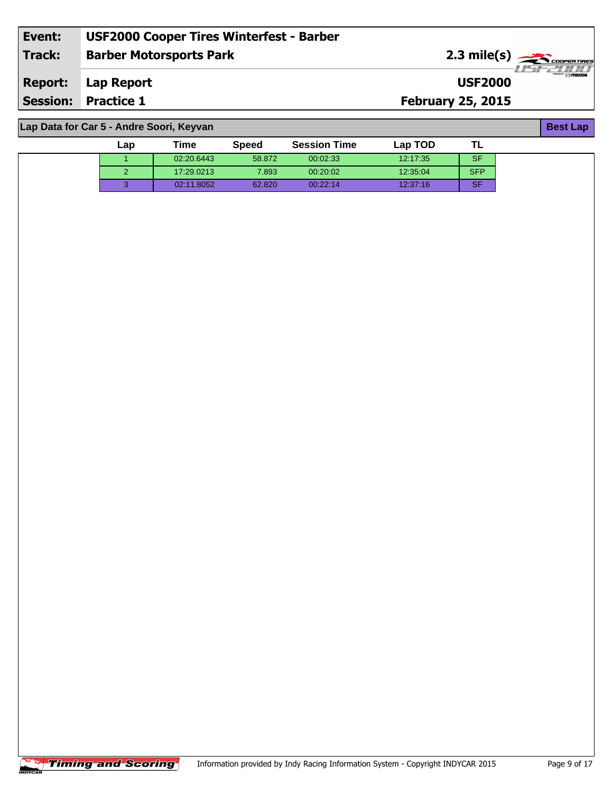| Event: | <b>USF2000 Cooper Tires Winterfest - Barber</b> |                                                        |
|--------|-------------------------------------------------|--------------------------------------------------------|
| Track: | <b>Barber Motorsports Park</b>                  | $2.3 \text{ mile(s)}$                                  |
|        | <b>Report:</b> Lap Report                       | - I LEI EZITTITTI<br>~" <b>⊙mazn</b><br><b>USF2000</b> |
|        | <b>Session: Practice 1</b>                      | <b>February 25, 2015</b>                               |
|        |                                                 |                                                        |

**Lap Data for Car 5 - Andre Soori, Keyvan**

| Lap | Time       | <b>Speed</b> | <b>Session Time</b> | Lap TOD  | ᄔ          |
|-----|------------|--------------|---------------------|----------|------------|
|     | 02:20.6443 | 58.872       | 00:02:33            | 12.17.35 | <b>SF</b>  |
|     | 17:29.0213 | 7.893        | 00:20:02            | 12:35:04 | <b>SFP</b> |
|     | 02:11.8052 | 62.820       | 00:22:14            | 12:37:16 | <b>SF</b>  |

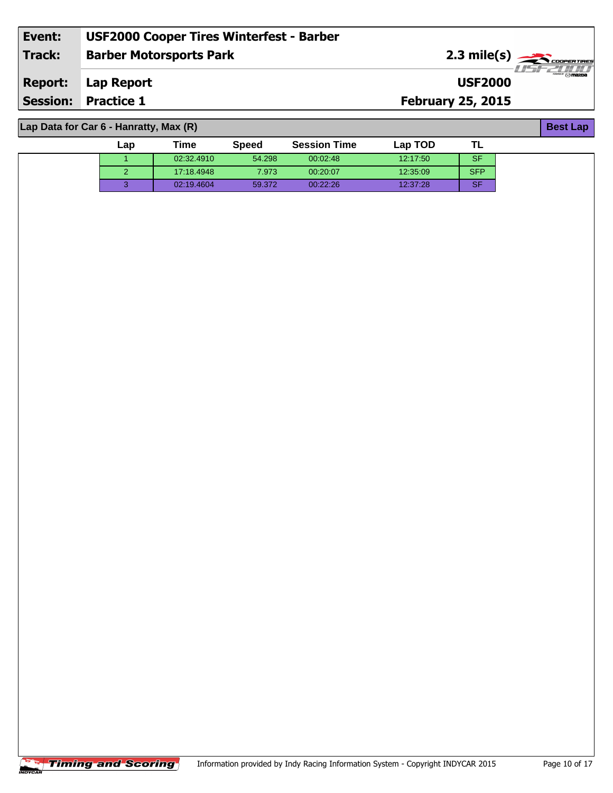| Event:          | <b>USF2000 Cooper Tires Winterfest - Barber</b> |                                                               |                                       |
|-----------------|-------------------------------------------------|---------------------------------------------------------------|---------------------------------------|
| Track:          | <b>Barber Motorsports Park</b>                  | $2.3$ mile(s) $\overbrace{\hspace{2.5cm}}$ <i>coorentines</i> |                                       |
| <b>Report:</b>  | Lap Report                                      | <b>USF2000</b>                                                | $^{\prime\prime\prime}$ $\odot$ mazoa |
| <b>Session:</b> | <b>Practice 1</b>                               | <b>February 25, 2015</b>                                      |                                       |
|                 |                                                 |                                                               |                                       |

**Lap Data for Car 6 - Hanratty, Max (R)**

| Lap | Time       | <b>Speed</b> | <b>Session Time</b> | Lap TOD  |            |
|-----|------------|--------------|---------------------|----------|------------|
|     | 02:32.4910 | 54.298       | 00:02:48            | 12:17:50 | <b>SF</b>  |
|     | 17:18.4948 | 7.973        | 00:20:07            | 12:35:09 | <b>SFP</b> |
|     | 02:19.4604 | 59.372       | 00:22:26            | 12:37:28 | <b>SF</b>  |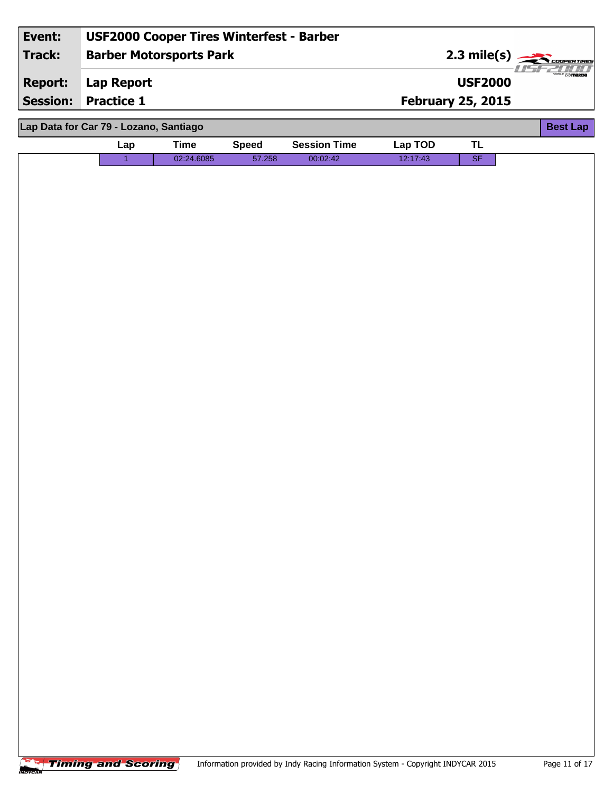| Event:          |                                        | <b>USF2000 Cooper Tires Winterfest - Barber</b> |              |                     |          |                          |                                |
|-----------------|----------------------------------------|-------------------------------------------------|--------------|---------------------|----------|--------------------------|--------------------------------|
| <b>Track:</b>   |                                        | <b>Barber Motorsports Park</b>                  |              |                     |          | $2.3$ mile(s)            | <b>COOPERTIRES</b>             |
| <b>Report:</b>  | <b>Lap Report</b>                      |                                                 |              |                     |          | <b>USF2000</b>           | $\frac{1}{2}$ of $\frac{1}{2}$ |
| <b>Session:</b> | <b>Practice 1</b>                      |                                                 |              |                     |          | <b>February 25, 2015</b> |                                |
|                 | Lap Data for Car 79 - Lozano, Santiago |                                                 |              |                     |          |                          | <b>Best Lap</b>                |
|                 | Lap                                    | <b>Time</b>                                     | <b>Speed</b> | <b>Session Time</b> | Lap TOD  | <b>TL</b>                |                                |
|                 | $\overline{1}$                         | 02:24.6085                                      | 57.258       | 00:02:42            | 12:17:43 | SF                       |                                |
|                 |                                        |                                                 |              |                     |          |                          |                                |
|                 |                                        |                                                 |              |                     |          |                          |                                |
|                 |                                        |                                                 |              |                     |          |                          |                                |
|                 |                                        |                                                 |              |                     |          |                          |                                |
|                 |                                        |                                                 |              |                     |          |                          |                                |
|                 |                                        |                                                 |              |                     |          |                          |                                |
|                 |                                        |                                                 |              |                     |          |                          |                                |
|                 |                                        |                                                 |              |                     |          |                          |                                |
|                 |                                        |                                                 |              |                     |          |                          |                                |
|                 |                                        |                                                 |              |                     |          |                          |                                |
|                 |                                        |                                                 |              |                     |          |                          |                                |
|                 |                                        |                                                 |              |                     |          |                          |                                |
|                 |                                        |                                                 |              |                     |          |                          |                                |
|                 |                                        |                                                 |              |                     |          |                          |                                |
|                 |                                        |                                                 |              |                     |          |                          |                                |
|                 |                                        |                                                 |              |                     |          |                          |                                |
|                 |                                        |                                                 |              |                     |          |                          |                                |
|                 |                                        |                                                 |              |                     |          |                          |                                |
|                 |                                        |                                                 |              |                     |          |                          |                                |
|                 |                                        |                                                 |              |                     |          |                          |                                |
|                 |                                        |                                                 |              |                     |          |                          |                                |
|                 |                                        |                                                 |              |                     |          |                          |                                |
|                 |                                        |                                                 |              |                     |          |                          |                                |
|                 |                                        |                                                 |              |                     |          |                          |                                |
|                 |                                        |                                                 |              |                     |          |                          |                                |
|                 |                                        |                                                 |              |                     |          |                          |                                |
|                 |                                        |                                                 |              |                     |          |                          |                                |
|                 |                                        |                                                 |              |                     |          |                          |                                |
|                 |                                        |                                                 |              |                     |          |                          |                                |
|                 |                                        |                                                 |              |                     |          |                          |                                |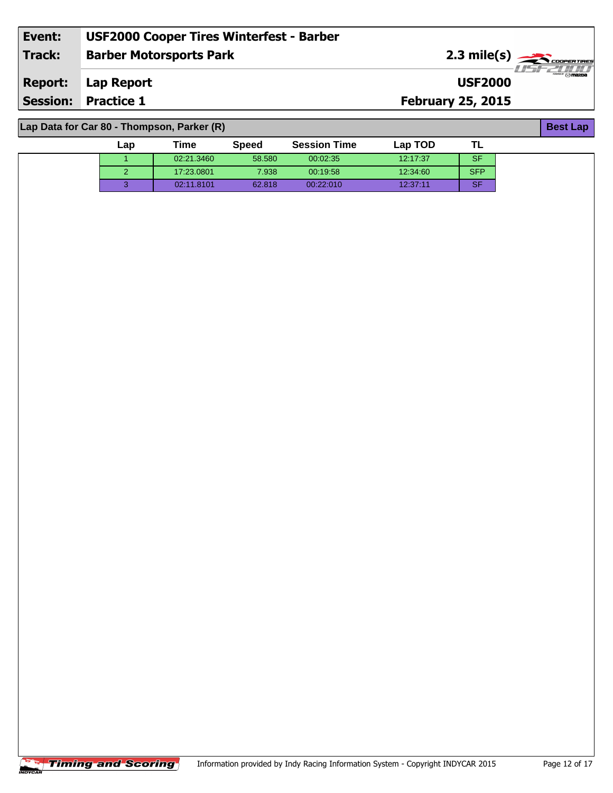| Event:         | <b>USF2000 Cooper Tires Winterfest - Barber</b> |                          |                                            |
|----------------|-------------------------------------------------|--------------------------|--------------------------------------------|
| <b>Track:</b>  | <b>Barber Motorsports Park</b>                  |                          | $2.3 \text{ mile(s)}$<br>·LES 22 0 0 1 0 1 |
| <b>Report:</b> | Lap Report                                      | <b>USF2000</b>           | <b>WELL OF THE WAY OF THE PARTY</b>        |
|                | <b>Session: Practice 1</b>                      | <b>February 25, 2015</b> |                                            |
|                |                                                 |                          |                                            |
|                | Lap Data for Car 80 - Thompson, Parker (R)      |                          | <b>Best Lap</b>                            |

**Lap Data for Car 80 - Thompson, Parker (R)**

| Lap | Time       | <b>Speed</b> | <b>Session Time</b> | Lap TOD  |            |  |
|-----|------------|--------------|---------------------|----------|------------|--|
|     | 02:21.3460 | 58.580       | 00:02:35            | 12:17:37 | <b>SF</b>  |  |
|     | 17:23.0801 | 7.938        | 00:19:58            | 12:34:60 | <b>SFP</b> |  |
| ◠   | 02:11.8101 | 62.818       | 00:22:010           | 12:37:11 | <b>SF</b>  |  |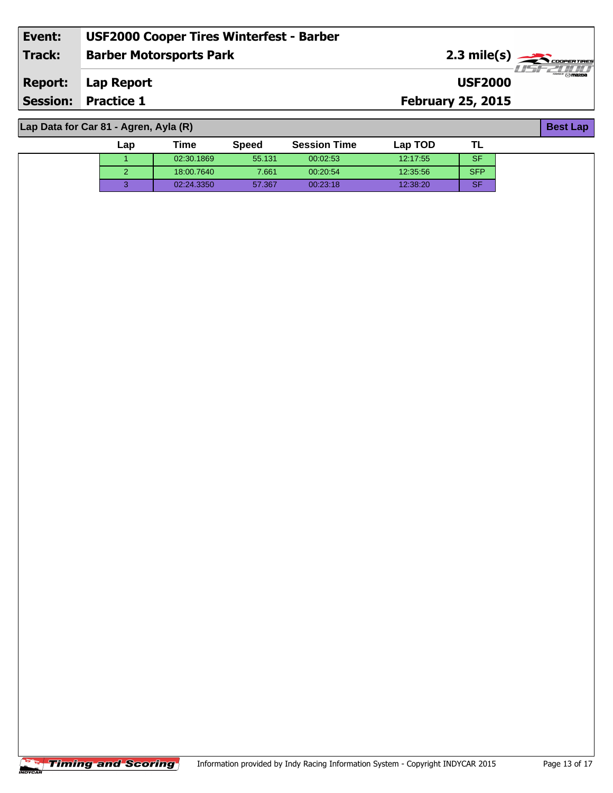| Event:          | <b>USF2000 Cooper Tires Winterfest - Barber</b> |                                                 |                          |
|-----------------|-------------------------------------------------|-------------------------------------------------|--------------------------|
| Track:          | <b>Barber Motorsports Park</b>                  | $2.3$ mile(s) $\frac{1}{\sqrt{2}}$ coorer TIRES | 77521771                 |
| <b>Report:</b>  | Lap Report                                      | <b>USF2000</b>                                  | $\overline{\phantom{m}}$ |
| <b>Session:</b> | <b>Practice 1</b>                               | <b>February 25, 2015</b>                        |                          |
|                 |                                                 |                                                 |                          |

**Lap Data for Car 81 - Agren, Ayla (R)**

| Lap | Time       | <b>Speed</b> | <b>Session Time</b> | Lap TOD  |            |  |
|-----|------------|--------------|---------------------|----------|------------|--|
|     | 02:30.1869 | 55.131       | 00:02:53            | 12:17:55 | <b>SF</b>  |  |
| -   | 18:00.7640 | 7.661        | 00:20:54            | 12:35:56 | <b>SFP</b> |  |
|     | 02:24.3350 | 57.367       | 00:23:18            | 12:38:20 | <b>SF</b>  |  |

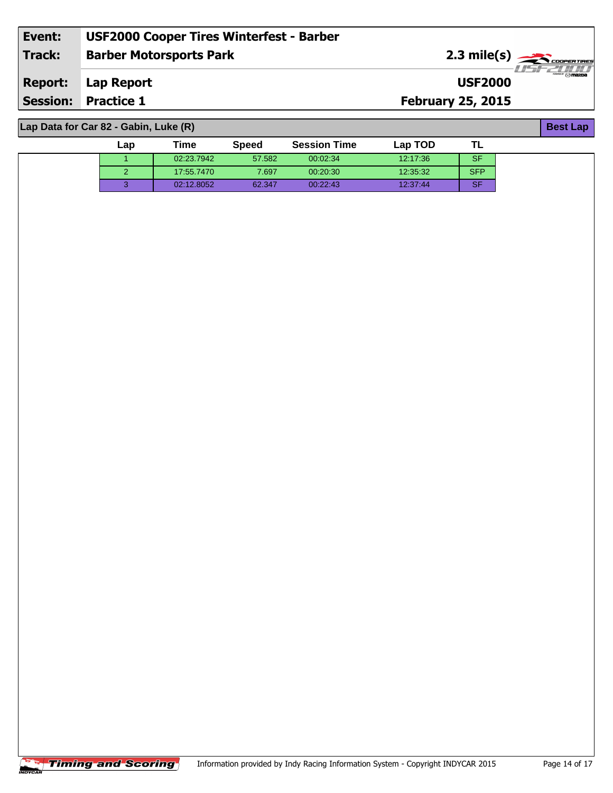| Event:          | <b>USF2000 Cooper Tires Winterfest - Barber</b> |                                                 |                                       |
|-----------------|-------------------------------------------------|-------------------------------------------------|---------------------------------------|
| Track:          | <b>Barber Motorsports Park</b>                  | $2.3$ mile(s) $\frac{1}{\sqrt{2}}$ coorer TIRES |                                       |
| <b>Report:</b>  | Lap Report                                      | <b>USF2000</b>                                  | $^{\prime\prime\prime}$ $\odot$ mazoa |
| <b>Session:</b> | <b>Practice 1</b>                               | <b>February 25, 2015</b>                        |                                       |
|                 |                                                 |                                                 |                                       |

**Lap Data for Car 82 - Gabin, Luke (R)**

| $\mathsf{Lap}$ | Time       | Speed  | <b>Session Time</b> | Lap TOD  | . .       |
|----------------|------------|--------|---------------------|----------|-----------|
|                | 02:23.7942 | 57.582 | 00:02:34            | 12:17:36 | <b>SF</b> |
|                | 17:55.7470 | 7.697  | 00:20:30            | 12:35:32 | SFP.      |
|                | 02:12.8052 | 62.347 | 00:22:43            | 12:37:44 | <b>SF</b> |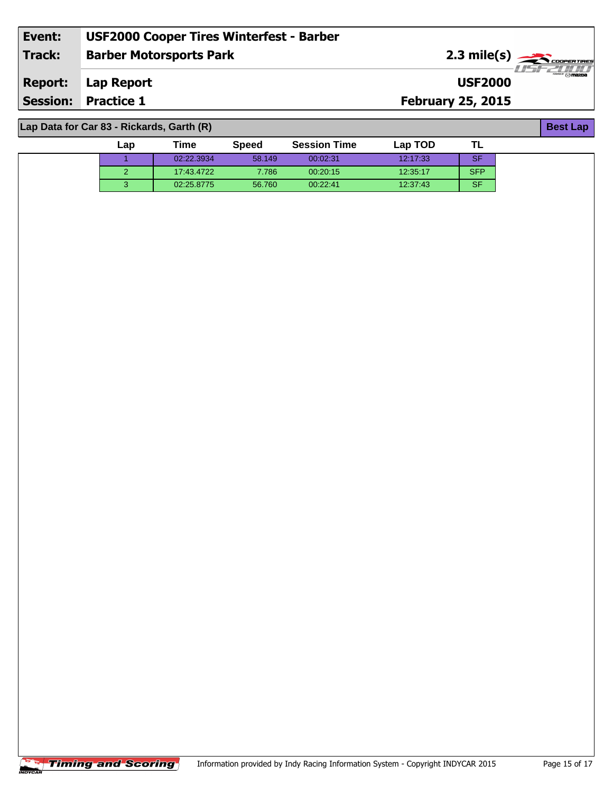| Event:         | <b>USF2000 Cooper Tires Winterfest - Barber</b> |                          |                                                                                                                                                                                                                                                                                                                                                                                                                                                                                 |
|----------------|-------------------------------------------------|--------------------------|---------------------------------------------------------------------------------------------------------------------------------------------------------------------------------------------------------------------------------------------------------------------------------------------------------------------------------------------------------------------------------------------------------------------------------------------------------------------------------|
| <b>Track:</b>  | <b>Barber Motorsports Park</b>                  | $2.3 \text{ mile(s)}$    |                                                                                                                                                                                                                                                                                                                                                                                                                                                                                 |
| <b>Report:</b> | Lap Report                                      | <b>USF2000</b>           | $\overline{\phantom{a}}$ $\overline{\phantom{a}}$ $\overline{\phantom{a}}$ $\overline{\phantom{a}}$ $\overline{\phantom{a}}$ $\overline{\phantom{a}}$ $\overline{\phantom{a}}$ $\overline{\phantom{a}}$ $\overline{\phantom{a}}$ $\overline{\phantom{a}}$ $\overline{\phantom{a}}$ $\overline{\phantom{a}}$ $\overline{\phantom{a}}$ $\overline{\phantom{a}}$ $\overline{\phantom{a}}$ $\overline{\phantom{a}}$ $\overline{\phantom{a}}$ $\overline{\phantom{a}}$ $\overline{\$ |
|                | <b>Session: Practice 1</b>                      | <b>February 25, 2015</b> |                                                                                                                                                                                                                                                                                                                                                                                                                                                                                 |
|                | Lap Data for Car 83 - Rickards, Garth (R)       |                          | <b>Best Lap</b>                                                                                                                                                                                                                                                                                                                                                                                                                                                                 |

| ∟ap | Time       | <b>Speed</b> | <b>Session Time</b> | Lap TOD  |            |
|-----|------------|--------------|---------------------|----------|------------|
|     | 02:22.3934 | 58.149       | 00:02:31            | 12:17:33 | <b>SF</b>  |
| . . | 17:43.4722 | 7.786        | 00:20:15            | 12:35:17 | <b>SFP</b> |
|     | 02:25.8775 | 56.760       | 00:22:41            | 12:37:43 | <b>SF</b>  |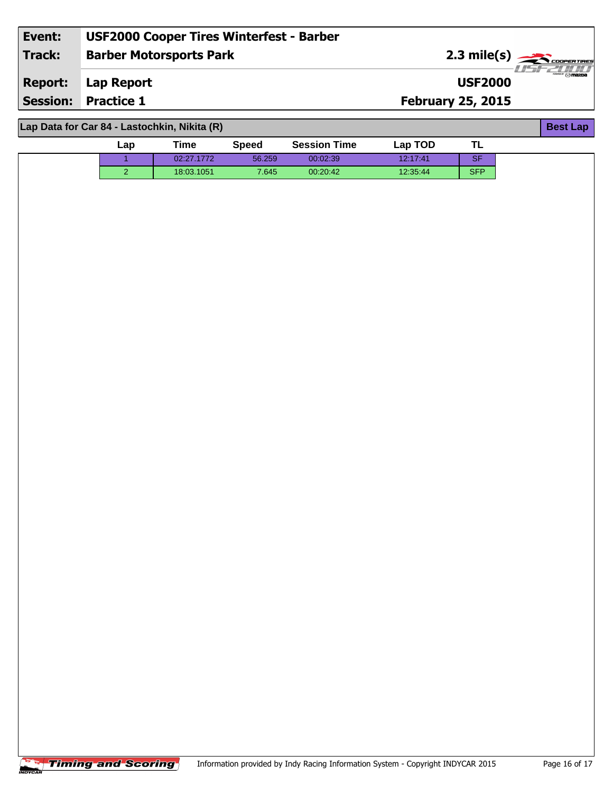| Event:          | <b>USF2000 Cooper Tires Winterfest - Barber</b> |                          |                       |
|-----------------|-------------------------------------------------|--------------------------|-----------------------|
| Track:          | <b>Barber Motorsports Park</b>                  |                          | $2.3 \text{ mile(s)}$ |
| <b>Report:</b>  | Lap Report                                      | <b>USF2000</b>           | $-1157721/111$        |
| <b>Session:</b> | <b>Practice 1</b>                               | <b>February 25, 2015</b> |                       |
|                 |                                                 |                          |                       |
|                 | Lap Data for Car 84 - Lastochkin, Nikita (R)    |                          | <b>Best Lap</b>       |

**Lap Data for Car 84 - Lastochkin, Nikita (R)**

|                | $\frac{1}{2}$ = $\frac{1}{2}$ = $\frac{1}{2}$ = $\frac{1}{2}$ = $\frac{1}{2}$ = $\frac{1}{2}$ = $\frac{1}{2}$ = $\frac{1}{2}$ = $\frac{1}{2}$ = $\frac{1}{2}$ = $\frac{1}{2}$ = $\frac{1}{2}$ = $\frac{1}{2}$ = $\frac{1}{2}$ = $\frac{1}{2}$ = $\frac{1}{2}$ = $\frac{1}{2}$ = $\frac{1}{2}$ = $\frac{1$ |              |                     |          |            |  |
|----------------|-----------------------------------------------------------------------------------------------------------------------------------------------------------------------------------------------------------------------------------------------------------------------------------------------------------|--------------|---------------------|----------|------------|--|
| Lap            | <b>Time</b>                                                                                                                                                                                                                                                                                               | <b>Speed</b> | <b>Session Time</b> | Lap TOD  | TL         |  |
|                | 02:27.1772                                                                                                                                                                                                                                                                                                | 56.259       | 00:02:39            | 12:17:41 | SF.        |  |
| $\overline{2}$ | 18:03.1051                                                                                                                                                                                                                                                                                                | 7.645        | 00:20:42            | 12:35:44 | <b>SFP</b> |  |
|                |                                                                                                                                                                                                                                                                                                           |              |                     |          |            |  |
|                |                                                                                                                                                                                                                                                                                                           |              |                     |          |            |  |
|                |                                                                                                                                                                                                                                                                                                           |              |                     |          |            |  |
|                |                                                                                                                                                                                                                                                                                                           |              |                     |          |            |  |
|                |                                                                                                                                                                                                                                                                                                           |              |                     |          |            |  |
|                |                                                                                                                                                                                                                                                                                                           |              |                     |          |            |  |
|                |                                                                                                                                                                                                                                                                                                           |              |                     |          |            |  |
|                |                                                                                                                                                                                                                                                                                                           |              |                     |          |            |  |